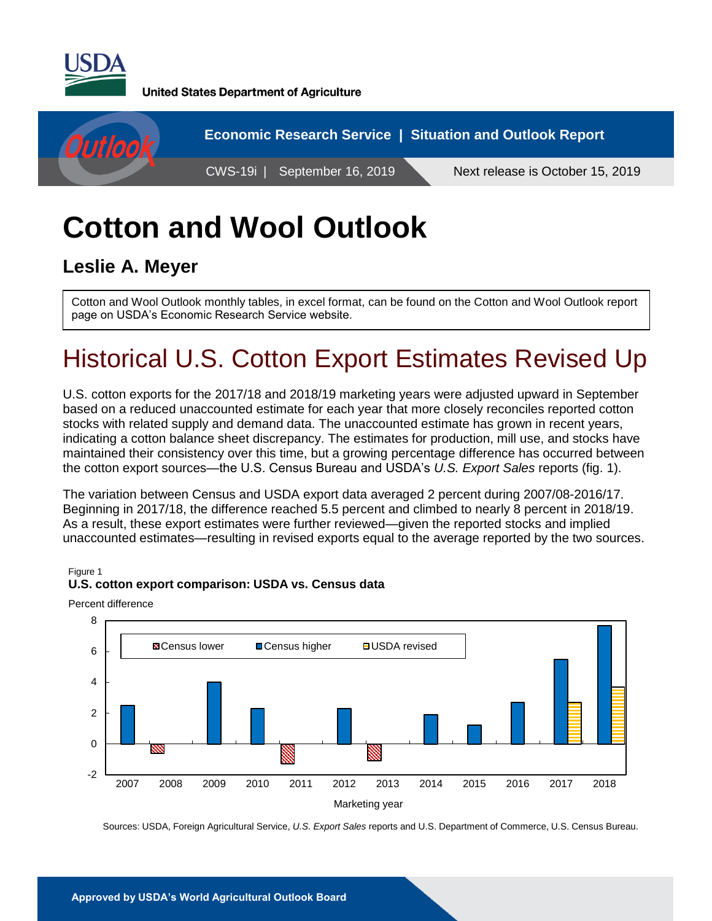

**United States Department of Agriculture** 



# **Cotton and Wool Outlook**

#### **Leslie A. Meyer**

Cotton and Wool Outlook monthly tables, in excel format, can be found on the Cotton and Wool Outlook report page on USDA's Economic Research Service website.

## Historical U.S. Cotton Export Estimates Revised Up

U.S. cotton exports for the 2017/18 and 2018/19 marketing years were adjusted upward in September based on a reduced unaccounted estimate for each year that more closely reconciles reported cotton stocks with related supply and demand data. The unaccounted estimate has grown in recent years, indicating a cotton balance sheet discrepancy. The estimates for production, mill use, and stocks have maintained their consistency over this time, but a growing percentage difference has occurred between the cotton export sources—the U.S. Census Bureau and USDA's *U.S. Export Sales* reports (fig. 1).

The variation between Census and USDA export data averaged 2 percent during 2007/08-2016/17. Beginning in 2017/18, the difference reached 5.5 percent and climbed to nearly 8 percent in 2018/19. As a result, these export estimates were further reviewed—given the reported stocks and implied unaccounted estimates—resulting in revised exports equal to the average reported by the two sources.

Figure 1

#### **U.S. cotton export comparison: USDA vs. Census data**

Percent difference



Sources: USDA, Foreign Agricultural Service, *U.S. Export Sales* reports and U.S. Department of Commerce, U.S. Census Bureau.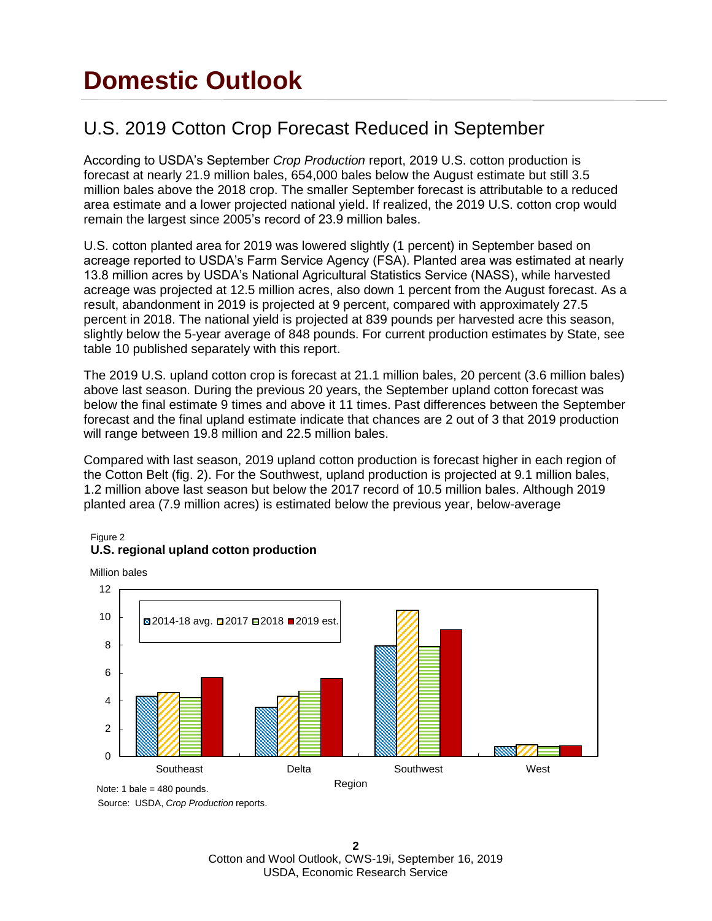## **Domestic Outlook**

#### U.S. 2019 Cotton Crop Forecast Reduced in September

According to USDA's September *Crop Production* report, 2019 U.S. cotton production is forecast at nearly 21.9 million bales, 654,000 bales below the August estimate but still 3.5 million bales above the 2018 crop. The smaller September forecast is attributable to a reduced area estimate and a lower projected national yield. If realized, the 2019 U.S. cotton crop would remain the largest since 2005's record of 23.9 million bales.

U.S. cotton planted area for 2019 was lowered slightly (1 percent) in September based on acreage reported to USDA's Farm Service Agency (FSA). Planted area was estimated at nearly 13.8 million acres by USDA's National Agricultural Statistics Service (NASS), while harvested acreage was projected at 12.5 million acres, also down 1 percent from the August forecast. As a result, abandonment in 2019 is projected at 9 percent, compared with approximately 27.5 percent in 2018. The national yield is projected at 839 pounds per harvested acre this season, slightly below the 5-year average of 848 pounds. For current production estimates by State, see table 10 published separately with this report.

The 2019 U.S. upland cotton crop is forecast at 21.1 million bales, 20 percent (3.6 million bales) above last season. During the previous 20 years, the September upland cotton forecast was below the final estimate 9 times and above it 11 times. Past differences between the September forecast and the final upland estimate indicate that chances are 2 out of 3 that 2019 production will range between 19.8 million and 22.5 million bales.

Compared with last season, 2019 upland cotton production is forecast higher in each region of the Cotton Belt (fig. 2). For the Southwest, upland production is projected at 9.1 million bales, 1.2 million above last season but below the 2017 record of 10.5 million bales. Although 2019 planted area (7.9 million acres) is estimated below the previous year, below-average

#### Figure 2 **U.S. regional upland cotton production**

Million bales



Source: USDA, *Crop Production* reports.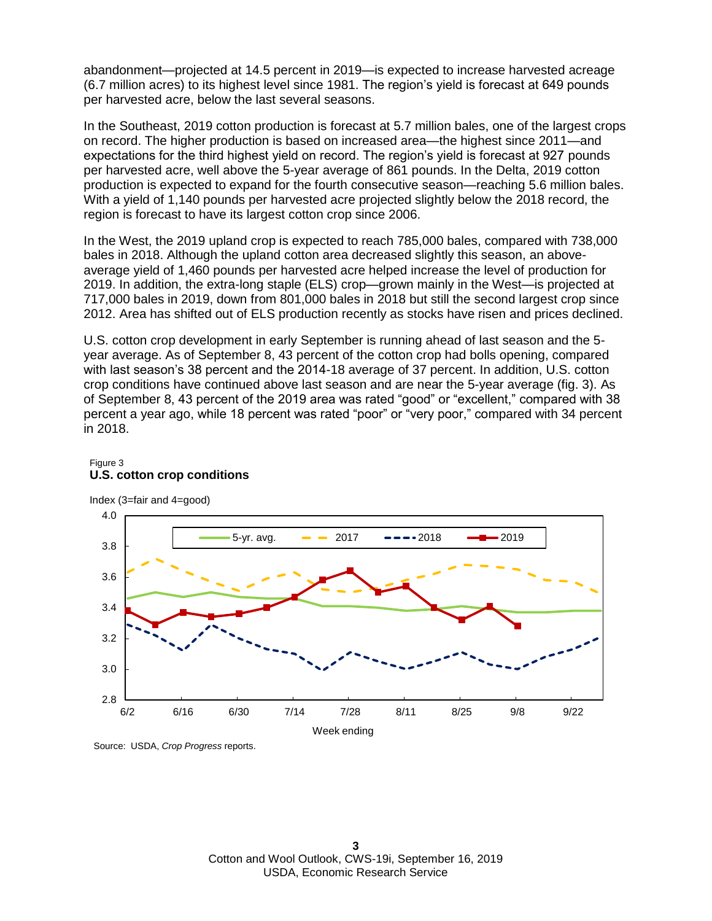abandonment—projected at 14.5 percent in 2019—is expected to increase harvested acreage (6.7 million acres) to its highest level since 1981. The region's yield is forecast at 649 pounds per harvested acre, below the last several seasons.

In the Southeast, 2019 cotton production is forecast at 5.7 million bales, one of the largest crops on record. The higher production is based on increased area—the highest since 2011—and expectations for the third highest yield on record. The region's yield is forecast at 927 pounds per harvested acre, well above the 5-year average of 861 pounds. In the Delta, 2019 cotton production is expected to expand for the fourth consecutive season—reaching 5.6 million bales. With a yield of 1,140 pounds per harvested acre projected slightly below the 2018 record, the region is forecast to have its largest cotton crop since 2006.

In the West, the 2019 upland crop is expected to reach 785,000 bales, compared with 738,000 bales in 2018. Although the upland cotton area decreased slightly this season, an aboveaverage yield of 1,460 pounds per harvested acre helped increase the level of production for 2019. In addition, the extra-long staple (ELS) crop—grown mainly in the West—is projected at 717,000 bales in 2019, down from 801,000 bales in 2018 but still the second largest crop since 2012. Area has shifted out of ELS production recently as stocks have risen and prices declined.

U.S. cotton crop development in early September is running ahead of last season and the 5 year average. As of September 8, 43 percent of the cotton crop had bolls opening, compared with last season's 38 percent and the 2014-18 average of 37 percent. In addition, U.S. cotton crop conditions have continued above last season and are near the 5-year average (fig. 3). As of September 8, 43 percent of the 2019 area was rated "good" or "excellent," compared with 38 percent a year ago, while 18 percent was rated "poor" or "very poor," compared with 34 percent in 2018.



#### Figure 3 **U.S. cotton crop conditions**

Index (3=fair and 4=good)

Source: USDA, *Crop Progress* reports.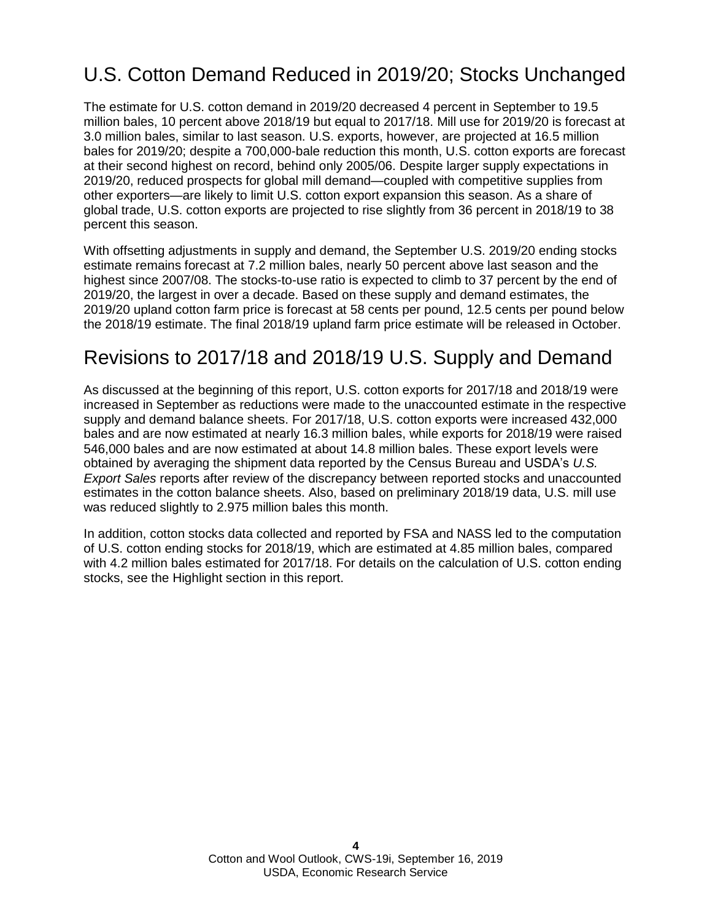### U.S. Cotton Demand Reduced in 2019/20; Stocks Unchanged

The estimate for U.S. cotton demand in 2019/20 decreased 4 percent in September to 19.5 million bales, 10 percent above 2018/19 but equal to 2017/18. Mill use for 2019/20 is forecast at 3.0 million bales, similar to last season. U.S. exports, however, are projected at 16.5 million bales for 2019/20; despite a 700,000-bale reduction this month, U.S. cotton exports are forecast at their second highest on record, behind only 2005/06. Despite larger supply expectations in 2019/20, reduced prospects for global mill demand—coupled with competitive supplies from other exporters—are likely to limit U.S. cotton export expansion this season. As a share of global trade, U.S. cotton exports are projected to rise slightly from 36 percent in 2018/19 to 38 percent this season.

With offsetting adjustments in supply and demand, the September U.S. 2019/20 ending stocks estimate remains forecast at 7.2 million bales, nearly 50 percent above last season and the highest since 2007/08. The stocks-to-use ratio is expected to climb to 37 percent by the end of 2019/20, the largest in over a decade. Based on these supply and demand estimates, the 2019/20 upland cotton farm price is forecast at 58 cents per pound, 12.5 cents per pound below the 2018/19 estimate. The final 2018/19 upland farm price estimate will be released in October.

### Revisions to 2017/18 and 2018/19 U.S. Supply and Demand

As discussed at the beginning of this report, U.S. cotton exports for 2017/18 and 2018/19 were increased in September as reductions were made to the unaccounted estimate in the respective supply and demand balance sheets. For 2017/18, U.S. cotton exports were increased 432,000 bales and are now estimated at nearly 16.3 million bales, while exports for 2018/19 were raised 546,000 bales and are now estimated at about 14.8 million bales. These export levels were obtained by averaging the shipment data reported by the Census Bureau and USDA's *U.S. Export Sales* reports after review of the discrepancy between reported stocks and unaccounted estimates in the cotton balance sheets. Also, based on preliminary 2018/19 data, U.S. mill use was reduced slightly to 2.975 million bales this month.

In addition, cotton stocks data collected and reported by FSA and NASS led to the computation of U.S. cotton ending stocks for 2018/19, which are estimated at 4.85 million bales, compared with 4.2 million bales estimated for 2017/18. For details on the calculation of U.S. cotton ending stocks, see the Highlight section in this report.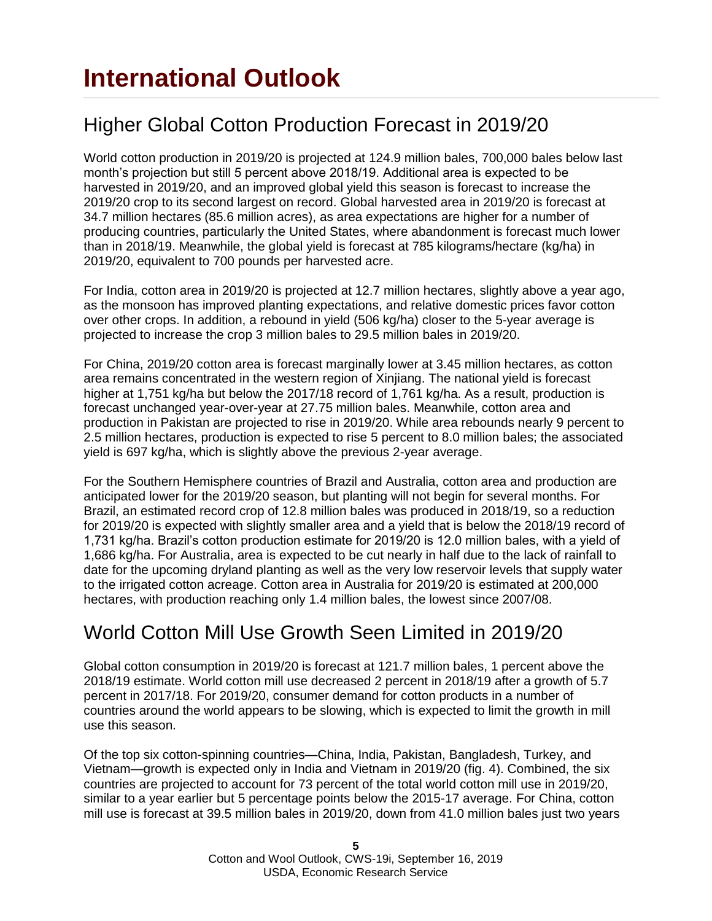### Higher Global Cotton Production Forecast in 2019/20

World cotton production in 2019/20 is projected at 124.9 million bales, 700,000 bales below last month's projection but still 5 percent above 2018/19. Additional area is expected to be harvested in 2019/20, and an improved global yield this season is forecast to increase the 2019/20 crop to its second largest on record. Global harvested area in 2019/20 is forecast at 34.7 million hectares (85.6 million acres), as area expectations are higher for a number of producing countries, particularly the United States, where abandonment is forecast much lower than in 2018/19. Meanwhile, the global yield is forecast at 785 kilograms/hectare (kg/ha) in 2019/20, equivalent to 700 pounds per harvested acre.

For India, cotton area in 2019/20 is projected at 12.7 million hectares, slightly above a year ago, as the monsoon has improved planting expectations, and relative domestic prices favor cotton over other crops. In addition, a rebound in yield (506 kg/ha) closer to the 5-year average is projected to increase the crop 3 million bales to 29.5 million bales in 2019/20.

For China, 2019/20 cotton area is forecast marginally lower at 3.45 million hectares, as cotton area remains concentrated in the western region of Xinjiang. The national yield is forecast higher at 1,751 kg/ha but below the 2017/18 record of 1,761 kg/ha. As a result, production is forecast unchanged year-over-year at 27.75 million bales. Meanwhile, cotton area and production in Pakistan are projected to rise in 2019/20. While area rebounds nearly 9 percent to 2.5 million hectares, production is expected to rise 5 percent to 8.0 million bales; the associated yield is 697 kg/ha, which is slightly above the previous 2-year average.

For the Southern Hemisphere countries of Brazil and Australia, cotton area and production are anticipated lower for the 2019/20 season, but planting will not begin for several months. For Brazil, an estimated record crop of 12.8 million bales was produced in 2018/19, so a reduction for 2019/20 is expected with slightly smaller area and a yield that is below the 2018/19 record of 1,731 kg/ha. Brazil's cotton production estimate for 2019/20 is 12.0 million bales, with a yield of 1,686 kg/ha. For Australia, area is expected to be cut nearly in half due to the lack of rainfall to date for the upcoming dryland planting as well as the very low reservoir levels that supply water to the irrigated cotton acreage. Cotton area in Australia for 2019/20 is estimated at 200,000 hectares, with production reaching only 1.4 million bales, the lowest since 2007/08.

#### World Cotton Mill Use Growth Seen Limited in 2019/20

Global cotton consumption in 2019/20 is forecast at 121.7 million bales, 1 percent above the 2018/19 estimate. World cotton mill use decreased 2 percent in 2018/19 after a growth of 5.7 percent in 2017/18. For 2019/20, consumer demand for cotton products in a number of countries around the world appears to be slowing, which is expected to limit the growth in mill use this season.

Of the top six cotton-spinning countries—China, India, Pakistan, Bangladesh, Turkey, and Vietnam—growth is expected only in India and Vietnam in 2019/20 (fig. 4). Combined, the six countries are projected to account for 73 percent of the total world cotton mill use in 2019/20, similar to a year earlier but 5 percentage points below the 2015-17 average. For China, cotton mill use is forecast at 39.5 million bales in 2019/20, down from 41.0 million bales just two years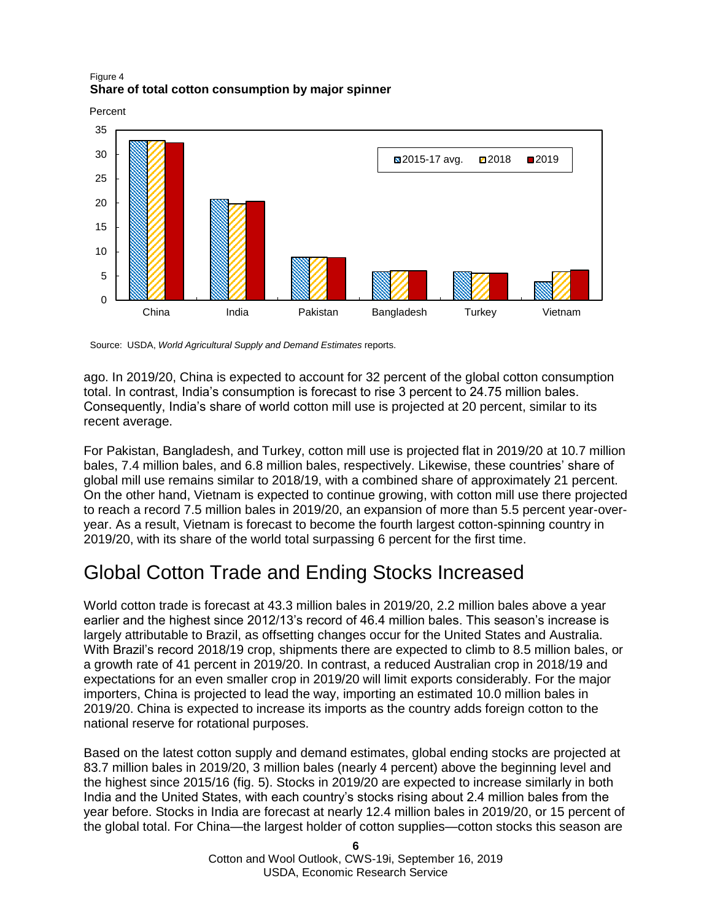#### Figure 4 **Share of total cotton consumption by major spinner**

Percent



Source: USDA, *World Agricultural Supply and Demand Estimates* reports.

ago. In 2019/20, China is expected to account for 32 percent of the global cotton consumption total. In contrast, India's consumption is forecast to rise 3 percent to 24.75 million bales. Consequently, India's share of world cotton mill use is projected at 20 percent, similar to its recent average.

For Pakistan, Bangladesh, and Turkey, cotton mill use is projected flat in 2019/20 at 10.7 million bales, 7.4 million bales, and 6.8 million bales, respectively. Likewise, these countries' share of global mill use remains similar to 2018/19, with a combined share of approximately 21 percent. On the other hand, Vietnam is expected to continue growing, with cotton mill use there projected to reach a record 7.5 million bales in 2019/20, an expansion of more than 5.5 percent year-overyear. As a result, Vietnam is forecast to become the fourth largest cotton-spinning country in 2019/20, with its share of the world total surpassing 6 percent for the first time.

### Global Cotton Trade and Ending Stocks Increased

World cotton trade is forecast at 43.3 million bales in 2019/20, 2.2 million bales above a year earlier and the highest since 2012/13's record of 46.4 million bales. This season's increase is largely attributable to Brazil, as offsetting changes occur for the United States and Australia. With Brazil's record 2018/19 crop, shipments there are expected to climb to 8.5 million bales, or a growth rate of 41 percent in 2019/20. In contrast, a reduced Australian crop in 2018/19 and expectations for an even smaller crop in 2019/20 will limit exports considerably. For the major importers, China is projected to lead the way, importing an estimated 10.0 million bales in 2019/20. China is expected to increase its imports as the country adds foreign cotton to the national reserve for rotational purposes.

Based on the latest cotton supply and demand estimates, global ending stocks are projected at 83.7 million bales in 2019/20, 3 million bales (nearly 4 percent) above the beginning level and the highest since 2015/16 (fig. 5). Stocks in 2019/20 are expected to increase similarly in both India and the United States, with each country's stocks rising about 2.4 million bales from the year before. Stocks in India are forecast at nearly 12.4 million bales in 2019/20, or 15 percent of the global total. For China—the largest holder of cotton supplies—cotton stocks this season are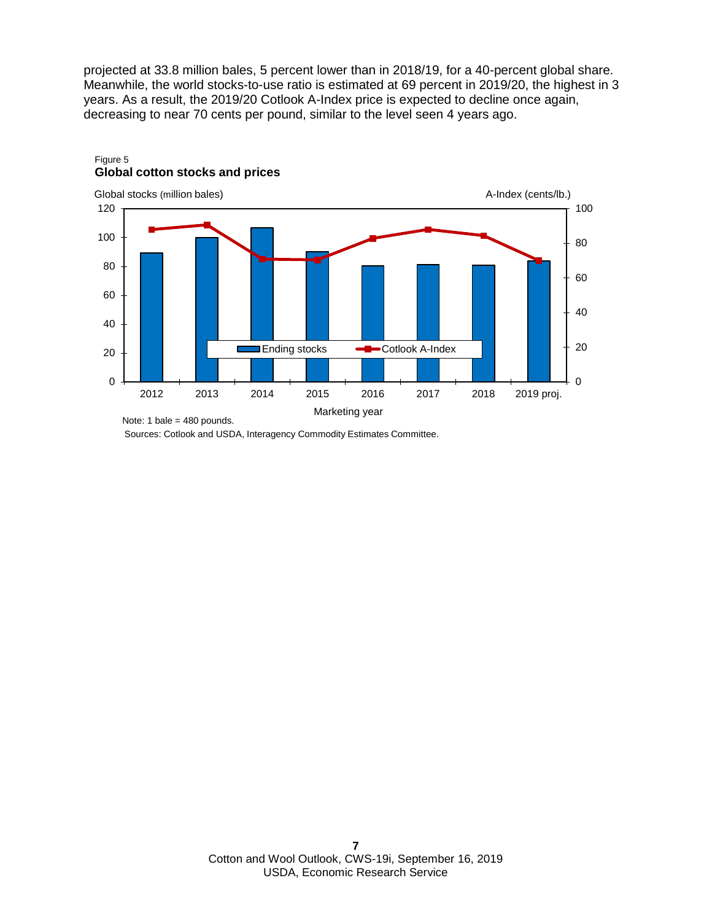projected at 33.8 million bales, 5 percent lower than in 2018/19, for a 40-percent global share. Meanwhile, the world stocks-to-use ratio is estimated at 69 percent in 2019/20, the highest in 3 years. As a result, the 2019/20 Cotlook A-Index price is expected to decline once again, decreasing to near 70 cents per pound, similar to the level seen 4 years ago.



#### Figure 5 **Global cotton stocks and prices**

Sources: Cotlook and USDA, Interagency Commodity Estimates Committee.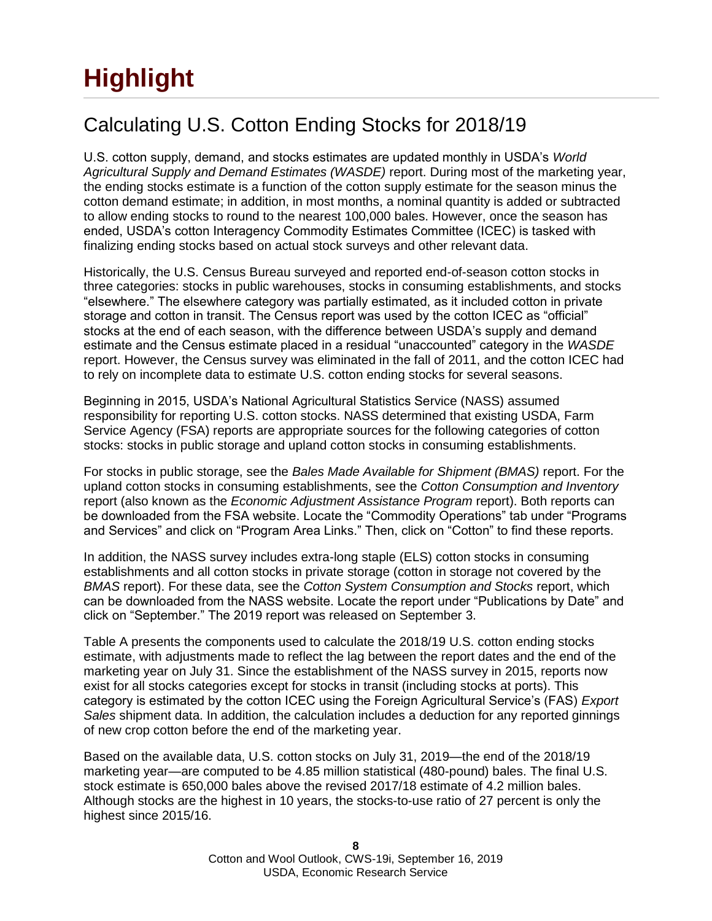# **Highlight**

### Calculating U.S. Cotton Ending Stocks for 2018/19

U.S. cotton supply, demand, and stocks estimates are updated monthly in USDA's *World Agricultural Supply and Demand Estimates (WASDE)* report. During most of the marketing year, the ending stocks estimate is a function of the cotton supply estimate for the season minus the cotton demand estimate; in addition, in most months, a nominal quantity is added or subtracted to allow ending stocks to round to the nearest 100,000 bales. However, once the season has ended, USDA's cotton Interagency Commodity Estimates Committee (ICEC) is tasked with finalizing ending stocks based on actual stock surveys and other relevant data.

Historically, the U.S. Census Bureau surveyed and reported end-of-season cotton stocks in three categories: stocks in public warehouses, stocks in consuming establishments, and stocks "elsewhere." The elsewhere category was partially estimated, as it included cotton in private storage and cotton in transit. The Census report was used by the cotton ICEC as "official" stocks at the end of each season, with the difference between USDA's supply and demand estimate and the Census estimate placed in a residual "unaccounted" category in the *WASDE* report. However, the Census survey was eliminated in the fall of 2011, and the cotton ICEC had to rely on incomplete data to estimate U.S. cotton ending stocks for several seasons.

Beginning in 2015, USDA's National Agricultural Statistics Service (NASS) assumed responsibility for reporting U.S. cotton stocks. NASS determined that existing USDA, Farm Service Agency (FSA) reports are appropriate sources for the following categories of cotton stocks: stocks in public storage and upland cotton stocks in consuming establishments.

For stocks in public storage, see the *Bales Made Available for Shipment (BMAS)* report. For the upland cotton stocks in consuming establishments, see the *Cotton Consumption and Inventory* report (also known as the *Economic Adjustment Assistance Program* report). Both reports can be downloaded from the FSA website. Locate the "Commodity Operations" tab under "Programs and Services" and click on "Program Area Links." Then, click on "Cotton" to find these reports.

In addition, the NASS survey includes extra-long staple (ELS) cotton stocks in consuming establishments and all cotton stocks in private storage (cotton in storage not covered by the *BMAS* report). For these data, see the *Cotton System Consumption and Stocks* report, which can be downloaded from the NASS website. Locate the report under "Publications by Date" and click on "September." The 2019 report was released on September 3.

Table A presents the components used to calculate the 2018/19 U.S. cotton ending stocks estimate, with adjustments made to reflect the lag between the report dates and the end of the marketing year on July 31. Since the establishment of the NASS survey in 2015, reports now exist for all stocks categories except for stocks in transit (including stocks at ports). This category is estimated by the cotton ICEC using the Foreign Agricultural Service's (FAS) *Export Sales* shipment data. In addition, the calculation includes a deduction for any reported ginnings of new crop cotton before the end of the marketing year.

Based on the available data, U.S. cotton stocks on July 31, 2019—the end of the 2018/19 marketing year—are computed to be 4.85 million statistical (480-pound) bales. The final U.S. stock estimate is 650,000 bales above the revised 2017/18 estimate of 4.2 million bales. Although stocks are the highest in 10 years, the stocks-to-use ratio of 27 percent is only the highest since 2015/16.